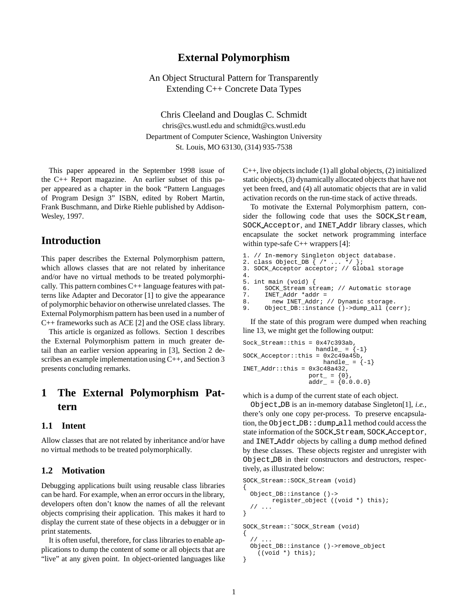# **External Polymorphism**

An Object Structural Pattern for Transparently Extending C++ Concrete Data Types

Chris Cleeland and Douglas C. Schmidt chris@cs.wustl.edu and schmidt@cs.wustl.edu Department of Computer Science, Washington University St. Louis, MO 63130, (314) 935-7538

This paper appeared in the September 1998 issue of the C++ Report magazine. An earlier subset of this paper appeared as a chapter in the book "Pattern Languages of Program Design 3" ISBN, edited by Robert Martin, Frank Buschmann, and Dirke Riehle published by Addison-Wesley, 1997.

# **Introduction**

This paper describes the External Polymorphism pattern, which allows classes that are not related by inheritance and/or have no virtual methods to be treated polymorphically. This pattern combines  $C_{++}$  language features with patterns like Adapter and Decorator [1] to give the appearance of polymorphic behavior on otherwise unrelated classes. The External Polymorphism pattern has been used in a number of C++ frameworks such as ACE [2] and the OSE class library.

This article is organized as follows. Section 1 describes the External Polymorphism pattern in much greater detail than an earlier version appearing in [3], Section 2 describes an example implementation using C++, and Section 3 presents concluding remarks.

# **1 The External Polymorphism Pattern**

#### **1.1 Intent**

Allow classes that are not related by inheritance and/or have no virtual methods to be treated polymorphically.

#### **1.2 Motivation**

Debugging applications built using reusable class libraries can be hard. For example, when an error occurs in the library, developers often don't know the names of all the relevant objects comprising their application. This makes it hard to display the current state of these objects in a debugger or in print statements.

It is often useful, therefore, for class libraries to enable applications to dump the content of some or all objects that are "live" at any given point. In object-oriented languages like C++, live objects include (1) all global objects, (2) initialized static objects, (3) dynamically allocated objects that have not yet been freed, and (4) all automatic objects that are in valid activation records on the run-time stack of active threads.

To motivate the External Polymorphism pattern, consider the following code that uses the SOCK Stream, SOCK Acceptor, and INET Addr library classes, which encapsulate the socket network programming interface within type-safe C++ wrappers [4]:

```
1. // In-memory Singleton object database.
2. class Object_DB { /* ... */ };
3. SOCK_Acceptor acceptor; // Global storage
4.
5. int main (void) {
6. SOCK_Stream stream; \frac{1}{10} Automatic storage<br>7. INET Addr *addr =
       7. INET_Addr *addr =
8. new INET_Addr; // Dynamic storage.<br>9. Object DB::instance ()->dump all (ce
       Object_DB::instance ()->dump_all (cerr);
```
If the state of this program were dumped when reaching line 13, we might get the following output:

```
Sock_Stream::this = 0x47c393ab,
                    handle_ = {-1}SOCK Acceptor:: this = 0x2c49a45b,
                      handle = {-1}INET_Addr::this = 0x3c48a432,
                   port_ = \{0\},\addr_ = \{0.0.0.0\}
```
which is a dump of the current state of each object.

Object DB is an in-memory database Singleton[1], *i.e.,* there's only one copy per-process. To preserve encapsulation, the Object DB::dump all method could access the state information of the SOCK Stream, SOCK Acceptor, and INET Addr objects by calling a dump method defined by these classes. These objects register and unregister with Object DB in their constructors and destructors, respectively, as illustrated below:

```
SOCK_Stream::SOCK_Stream (void)
{
 Object_DB::instance ()->
        register_object ((void *) this);
    // ...
}
SOCK_Stream::˜SOCK_Stream (void)
{
  // ...
  Object_DB::instance ()->remove_object
    ((void *) this);
}
```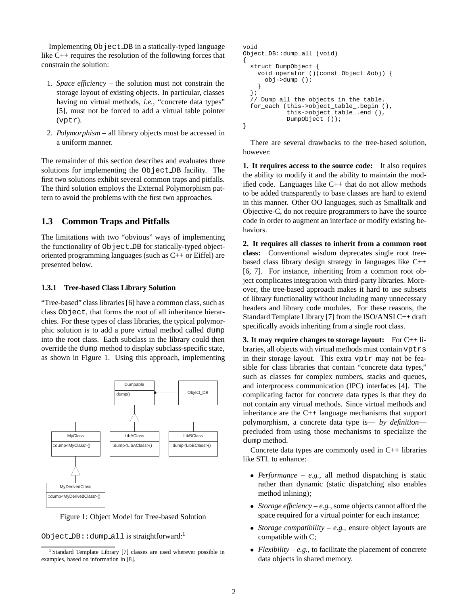Implementing Object DB in a statically-typed language like C++ requires the resolution of the following forces that constrain the solution:

- 1. *Space efficiency* the solution must not constrain the storage layout of existing objects. In particular, classes having no virtual methods, *i.e.*, "concrete data types" [5], must not be forced to add a virtual table pointer (vptr).
- 2. *Polymorphism* all library objects must be accessed in a uniform manner.

The remainder of this section describes and evaluates three solutions for implementing the Object DB facility. The first two solutions exhibit several common traps and pitfalls. The third solution employs the External Polymorphism pattern to avoid the problems with the first two approaches.

## **1.3 Common Traps and Pitfalls**

The limitations with two "obvious" ways of implementing the functionality of Object DB for statically-typed objectoriented programming languages (such as C++ or Eiffel) are presented below.

#### **1.3.1 Tree-based Class Library Solution**

"Tree-based" class libraries [6] have a common class, such as class Object, that forms the root of all inheritance hierarchies. For these types of class libraries, the typical polymorphic solution is to add a pure virtual method called dump into the root class. Each subclass in the library could then override the dump method to display subclass-specific state, as shown in Figure 1. Using this approach, implementing



Figure 1: Object Model for Tree-based Solution

Object DB::dump all is straightforward:<sup>1</sup>

```
void
Object_DB::dump_all (void)
{
 struct DumpObject {
    void operator ()(const Object &obj) {
      obj->dump ();
    }
  };
  // Dump all the objects in the table.
  for_each (this->object_table_.begin (),
            this->object_table_.end (),
            DumpObject ());
}
```
There are several drawbacks to the tree-based solution, however:

**1. It requires access to the source code:** It also requires the ability to modify it and the ability to maintain the modified code. Languages like C++ that do not allow methods to be added transparently to base classes are hard to extend in this manner. Other OO languages, such as Smalltalk and Objective-C, do not require programmers to have the source code in order to augment an interface or modify existing behaviors.

**2. It requires all classes to inherit from a common root class:** Conventional wisdom deprecates single root treebased class library design strategy in languages like C++ [6, 7]. For instance, inheriting from a common root object complicates integration with third-party libraries. Moreover, the tree-based approach makes it hard to use subsets of library functionality without including many unnecessary headers and library code modules. For these reasons, the Standard Template Library [7] from the ISO/ANSI C++ draft specifically avoids inheriting from a single root class.

**3. It may require changes to storage layout:** For C++ libraries, all objects with virtual methods must contain vptrs in their storage layout. This extra vptr may not be feasible for class libraries that contain "concrete data types," such as classes for complex numbers, stacks and queues, and interprocess communication (IPC) interfaces [4]. The complicating factor for concrete data types is that they do not contain any virtual methods. Since virtual methods and inheritance are the C++ language mechanisms that support polymorphism, a concrete data type is— *by definition* precluded from using those mechanisms to specialize the dump method.

Concrete data types are commonly used in C++ libraries like STL to enhance:

- *Performance e.g.,* all method dispatching is static rather than dynamic (static dispatching also enables method inlining);
- *Storage efficiency e.g.,* some objects cannot afford the space required for a virtual pointer for each instance;
- *Storage compatibility e.g.,* ensure object layouts are compatible with C;
- *Flexibility e.g.,* to facilitate the placement of concrete data objects in shared memory.

<sup>&</sup>lt;sup>1</sup> Standard Template Library [7] classes are used wherever possible in examples, based on information in [8].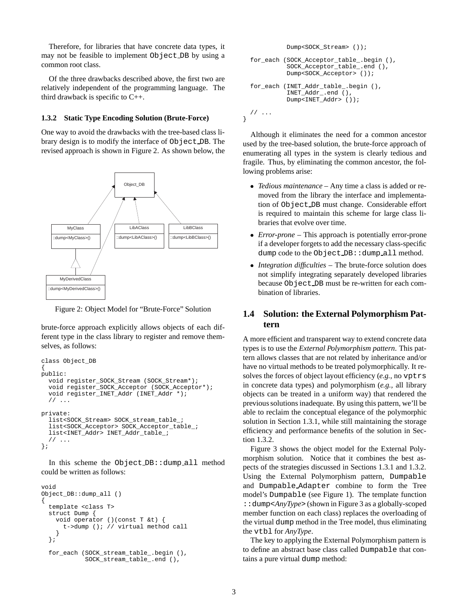Therefore, for libraries that have concrete data types, it may not be feasible to implement Object DB by using a common root class.

Of the three drawbacks described above, the first two are relatively independent of the programming language. The third drawback is specific to C++.

#### **1.3.2 Static Type Encoding Solution (Brute-Force)**

One way to avoid the drawbacks with the tree-based class library design is to modify the interface of Object DB. The revised approach is shown in Figure 2. As shown below, the



Figure 2: Object Model for "Brute-Force" Solution

brute-force approach explicitly allows objects of each different type in the class library to register and remove themselves, as follows:

```
class Object_DB
{
public:
  void register_SOCK_Stream (SOCK_Stream*);
  void register_SOCK_Acceptor (SOCK_Acceptor*);
  void register_INET_Addr (INET_Addr *);
  // ...
private:
  list<SOCK_Stream> SOCK_stream_table_;
  list<SOCK_Acceptor> SOCK_Acceptor_table_;
  list<INET_Addr> INET_Addr_table_;
  // ...
};
```
In this scheme the Object DB::dump all method could be written as follows:

```
void
Object_DB::dump_all ()
{
  template <class T>
  struct Dump {
    void operator ()(const T &t) {
      t->dump (); // virtual method call
    }
  };
  for_each (SOCK_stream_table_.begin (),
            SOCK_stream_table_.end (),
```

```
Dump<SOCK_Stream> ());
for_each (SOCK_Acceptor_table_.begin (),
          SOCK_Acceptor_table_.end (),
          Dump<SOCK_Acceptor> ());
for_each (INET_Addr_table_.begin (),
          INET_Addr_.end (),
          Dump<INET_Addr> ());
```
// ... }

Although it eliminates the need for a common ancestor used by the tree-based solution, the brute-force approach of enumerating all types in the system is clearly tedious and fragile. Thus, by eliminating the common ancestor, the following problems arise:

- *Tedious maintenance* Any time a class is added or removed from the library the interface and implementation of Object DB must change. Considerable effort is required to maintain this scheme for large class libraries that evolve over time.
- *Error-prone* This approach is potentially error-prone if a developer forgets to add the necessary class-specific dump code to the Object DB::dump all method.
- *Integration difficulties* The brute-force solution does not simplify integrating separately developed libraries because Object DB must be re-written for each combination of libraries.

## **1.4 Solution: the External Polymorphism Pattern**

A more efficient and transparent way to extend concrete data types is to use the *External Polymorphism pattern*. This pattern allows classes that are not related by inheritance and/or have no virtual methods to be treated polymorphically. It resolves the forces of object layout efficiency (*e.g.,* no vptrs in concrete data types) and polymorphism (*e.g.,* all library objects can be treated in a uniform way) that rendered the previous solutions inadequate. By using this pattern, we'll be able to reclaim the conceptual elegance of the polymorphic solution in Section 1.3.1, while still maintaining the storage efficiency and performance benefits of the solution in Section 1.3.2.

Figure 3 shows the object model for the External Polymorphism solution. Notice that it combines the best aspects of the strategies discussed in Sections 1.3.1 and 1.3.2. Using the External Polymorphism pattern, Dumpable and Dumpable Adapter combine to form the Tree model's Dumpable (see Figure 1). The template function ::dump<*AnyType*> (shown in Figure 3 as a globally-scoped member function on each class) replaces the overloading of the virtual dump method in the Tree model, thus eliminating the vtbl for *AnyType*.

The key to applying the External Polymorphism pattern is to define an abstract base class called Dumpable that contains a pure virtual dump method: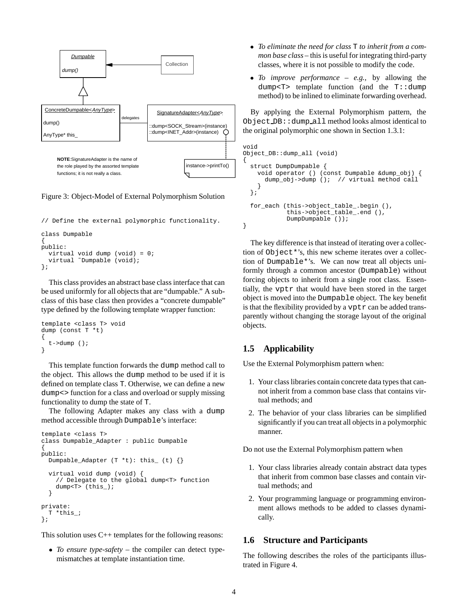

Figure 3: Object-Model of External Polymorphism Solution

```
// Define the external polymorphic functionality.
class Dumpable
{
public:
 virtual void dump (void) = 0;
  virtual ˜Dumpable (void);
};
```
This class provides an abstract base class interface that can be used uniformly for all objects that are "dumpable." A subclass of this base class then provides a "concrete dumpable" type defined by the following template wrapper function:

```
template <class T> void
dump (const T *t)
{
  t - >dump ();
}
```
This template function forwards the dump method call to the object. This allows the dump method to be used if it is defined on template class T. Otherwise, we can define a new dump<> function for a class and overload or supply missing functionality to dump the state of T.

The following Adapter makes any class with a dump method accessible through Dumpable's interface:

```
template <class T>
class Dumpable_Adapter : public Dumpable
{
public:
 Dumpable_Adapter (T *t): this_ (t) {}
  virtual void dump (void) {
    // Delegate to the global dump<T> function
    dump<T> (this_);
  }
private:
 T *this_;
};
```
This solution uses  $C_{++}$  templates for the following reasons:

 *To ensure type-safety* – the compiler can detect typemismatches at template instantiation time.

- *To eliminate the need for class* T *to inherit from a common base class* – this is useful for integrating third-party classes, where it is not possible to modify the code.
- *To improve performance e.g.,* by allowing the dump<T> template function (and the T::dump method) to be inlined to eliminate forwarding overhead.

By applying the External Polymorphism pattern, the Object DB::dump all method looks almost identical to the original polymorphic one shown in Section 1.3.1:

```
void
Object_DB::dump_all (void)
{
  struct DumpDumpable {
    void operator () (const Dumpable &dump_obj) {
      dump_obj->dump (); // virtual method call
    }
  };
  for_each (this->object_table_.begin (),
            this->object_table_.end (),
            DumpDumpable ());
}
```
The key difference is that instead of iterating over a collection of Object\*'s, this new scheme iterates over a collection of Dumpable\*'s. We can now treat all objects uniformly through a common ancestor (Dumpable) without forcing objects to inherit from a single root class. Essentially, the vptr that would have been stored in the target object is moved into the Dumpable object. The key benefit is that the flexibility provided by a vptr can be added transparently without changing the storage layout of the original objects.

## **1.5 Applicability**

Use the External Polymorphism pattern when:

- 1. Your class libraries contain concrete data types that cannot inherit from a common base class that contains virtual methods; and
- 2. The behavior of your class libraries can be simplified significantly if you can treat all objects in a polymorphic manner.

Do not use the External Polymorphism pattern when

- 1. Your class libraries already contain abstract data types that inherit from common base classes and contain virtual methods; and
- 2. Your programming language or programming environment allows methods to be added to classes dynamically.

#### **1.6 Structure and Participants**

The following describes the roles of the participants illustrated in Figure 4.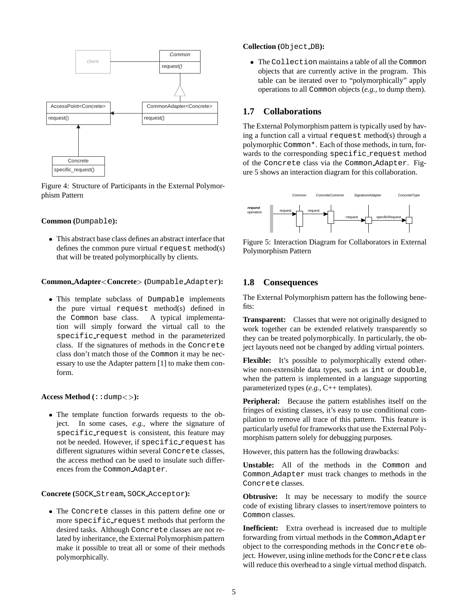

Figure 4: Structure of Participants in the External Polymorphism Pattern

#### **Common (**Dumpable**):**

 This abstract base class defines an abstract interface that defines the common pure virtual request method(s) that will be treated polymorphically by clients.

#### **Common Adapter**<**Concrete**<sup>&</sup>gt; **(**Dumpable Adapter**):**

 This template subclass of Dumpable implements the pure virtual request method(s) defined in the Common base class. A typical implementation will simply forward the virtual call to the specific request method in the parameterized class. If the signatures of methods in the Concrete class don't match those of the Common it may be necessary to use the Adapter pattern [1] to make them conform.

#### **Access Method (**::dump<>**):**

 The template function forwards requests to the object. In some cases, *e.g.*, where the signature of specific\_request is consistent, this feature may not be needed. However, if specific request has different signatures within several Concrete classes, the access method can be used to insulate such differences from the Common Adapter.

#### **Concrete (**SOCK Stream**,** SOCK Acceptor**):**

 The Concrete classes in this pattern define one or more specific\_request methods that perform the desired tasks. Although Concrete classes are not related by inheritance, the External Polymorphism pattern make it possible to treat all or some of their methods polymorphically.

#### **Collection (**Object DB**):**

 The Collection maintains a table of all the Common objects that are currently active in the program. This table can be iterated over to "polymorphically" apply operations to all Common objects (*e.g.,* to dump them).

# **1.7 Collaborations**

The External Polymorphism pattern is typically used by having a function call a virtual request method(s) through a polymorphic Common\*. Each of those methods, in turn, forwards to the corresponding specific request method of the Concrete class via the Common Adapter. Figure 5 shows an interaction diagram for this collaboration.



Figure 5: Interaction Diagram for Collaborators in External Polymorphism Pattern

## **1.8 Consequences**

The External Polymorphism pattern has the following benefits:

**Transparent:** Classes that were not originally designed to work together can be extended relatively transparently so they can be treated polymorphically. In particularly, the object layouts need not be changed by adding virtual pointers.

**Flexible:** It's possible to polymorphically extend otherwise non-extensible data types, such as int or double, when the pattern is implemented in a language supporting parameterized types (*e.g.,* C++ templates).

**Peripheral:** Because the pattern establishes itself on the fringes of existing classes, it's easy to use conditional compilation to remove all trace of this pattern. This feature is particularly useful for frameworks that use the External Polymorphism pattern solely for debugging purposes.

However, this pattern has the following drawbacks:

**Unstable:** All of the methods in the Common and Common Adapter must track changes to methods in the Concrete classes.

**Obtrusive:** It may be necessary to modify the source code of existing library classes to insert/remove pointers to Common classes.

**Inefficient:** Extra overhead is increased due to multiple forwarding from virtual methods in the Common Adapter object to the corresponding methods in the Concrete object. However, using inline methods for the Concrete class will reduce this overhead to a single virtual method dispatch.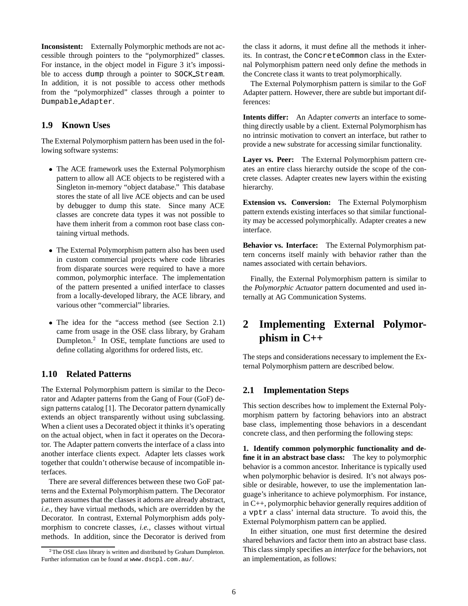**Inconsistent:** Externally Polymorphic methods are not accessible through pointers to the "polymorphized" classes. For instance, in the object model in Figure 3 it's impossible to access dump through a pointer to SOCK Stream. In addition, it is not possible to access other methods from the "polymorphized" classes through a pointer to Dumpable Adapter.

### **1.9 Known Uses**

The External Polymorphism pattern has been used in the following software systems:

- The ACE framework uses the External Polymorphism pattern to allow all ACE objects to be registered with a Singleton in-memory "object database." This database stores the state of all live ACE objects and can be used by debugger to dump this state. Since many ACE classes are concrete data types it was not possible to have them inherit from a common root base class containing virtual methods.
- The External Polymorphism pattern also has been used in custom commercial projects where code libraries from disparate sources were required to have a more common, polymorphic interface. The implementation of the pattern presented a unified interface to classes from a locally-developed library, the ACE library, and various other "commercial" libraries.
- The idea for the "access method (see Section 2.1) came from usage in the OSE class library, by Graham Dumpleton.<sup>2</sup> In OSE, template functions are used to define collating algorithms for ordered lists, etc.

## **1.10 Related Patterns**

The External Polymorphism pattern is similar to the Decorator and Adapter patterns from the Gang of Four (GoF) design patterns catalog [1]. The Decorator pattern dynamically extends an object transparently without using subclassing. When a client uses a Decorated object it thinks it's operating on the actual object, when in fact it operates on the Decorator. The Adapter pattern converts the interface of a class into another interface clients expect. Adapter lets classes work together that couldn't otherwise because of incompatible interfaces.

There are several differences between these two GoF patterns and the External Polymorphism pattern. The Decorator pattern assumes that the classes it adorns are already abstract, *i.e.,* they have virtual methods, which are overridden by the Decorator. In contrast, External Polymorphism adds polymorphism to concrete classes, *i.e.,* classes without virtual methods. In addition, since the Decorator is derived from the class it adorns, it must define all the methods it inherits. In contrast, the ConcreteCommon class in the External Polymorphism pattern need only define the methods in the Concrete class it wants to treat polymorphically.

The External Polymorphism pattern is similar to the GoF Adapter pattern. However, there are subtle but important differences:

**Intents differ:** An Adapter *converts* an interface to something directly usable by a client. External Polymorphism has no intrinsic motivation to convert an interface, but rather to provide a new substrate for accessing similar functionality.

**Layer vs. Peer:** The External Polymorphism pattern creates an entire class hierarchy outside the scope of the concrete classes. Adapter creates new layers within the existing hierarchy.

**Extension vs. Conversion:** The External Polymorphism pattern extends existing interfaces so that similar functionality may be accessed polymorphically. Adapter creates a new interface.

**Behavior vs. Interface:** The External Polymorphism pattern concerns itself mainly with behavior rather than the names associated with certain behaviors.

Finally, the External Polymorphism pattern is similar to the *Polymorphic Actuator* pattern documented and used internally at AG Communication Systems.

# **2 Implementing External Polymorphism in C++**

The steps and considerations necessary to implement the External Polymorphism pattern are described below.

#### **2.1 Implementation Steps**

This section describes how to implement the External Polymorphism pattern by factoring behaviors into an abstract base class, implementing those behaviors in a descendant concrete class, and then performing the following steps:

**1. Identify common polymorphic functionality and define it in an abstract base class:** The key to polymorphic behavior is a common ancestor. Inheritance is typically used when polymorphic behavior is desired. It's not always possible or desirable, however, to use the implementation language's inheritance to achieve polymorphism. For instance, in C++, polymorphic behavior generally requires addition of a vptr a class' internal data structure. To avoid this, the External Polymorphism pattern can be applied.

In either situation, one must first determine the desired shared behaviors and factor them into an abstract base class. This class simply specifies an *interface* for the behaviors, not an implementation, as follows:

<sup>&</sup>lt;sup>2</sup> The OSE class library is written and distributed by Graham Dumpleton. Further information can be found at www.dscpl.com.au/.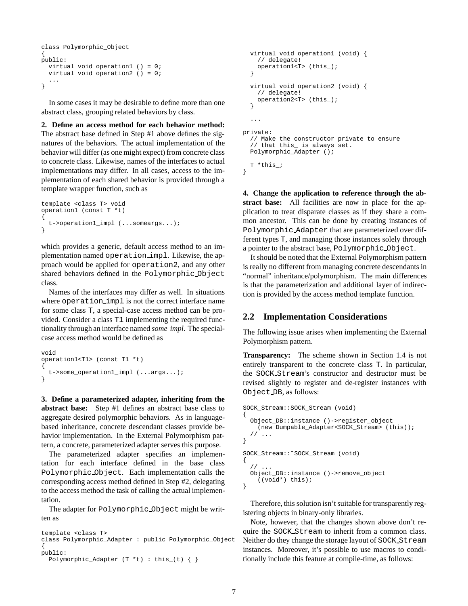```
class Polymorphic_Object
{
public:
 virtual void operation1 () = 0;
 virtual void operation2 () = 0;
  ...
}
```
In some cases it may be desirable to define more than one abstract class, grouping related behaviors by class.

**2. Define an access method for each behavior method:** The abstract base defined in Step #1 above defines the signatures of the behaviors. The actual implementation of the behavior will differ (as one might expect) from concrete class to concrete class. Likewise, names of the interfaces to actual implementations may differ. In all cases, access to the implementation of each shared behavior is provided through a template wrapper function, such as

```
template <class T> void
operation1 (const T *t)
{
  t->operation1_impl (...someargs...);
}
```
which provides a generic, default access method to an implementation named operation impl. Likewise, the approach would be applied for operation2, and any other shared behaviors defined in the Polymorphic Object class.

Names of the interfaces may differ as well. In situations where operation impl is not the correct interface name for some class T, a special-case access method can be provided. Consider a class T1 implementing the required functionality through an interface named *some impl*. The specialcase access method would be defined as

```
void
operation1<T1> (const T1 *t)
{
  t->some_operation1_impl (...args...);
}
```
**3. Define a parameterized adapter, inheriting from the abstract base:** Step #1 defines an abstract base class to aggregate desired polymorphic behaviors. As in languagebased inheritance, concrete descendant classes provide behavior implementation. In the External Polymorphism pattern, a concrete, parameterized adapter serves this purpose.

The parameterized adapter specifies an implementation for each interface defined in the base class Polymorphic Object. Each implementation calls the corresponding access method defined in Step #2, delegating to the access method the task of calling the actual implementation.

The adapter for Polymorphic Object might be written as

```
template <class T>
class Polymorphic_Adapter : public Polymorphic_Object
{
public:
  Polymorphic_Adapter (T *t) : this_(t) { }
```

```
virtual void operation1 (void) {
    // delegate!
    operation1<T> (this_);
  }
  virtual void operation2 (void) {
    // delegate!
    operation2<T> (this_);
  }
  ...
private:
  // Make the constructor private to ensure
  // that this_ is always set.
  Polymorphic_Adapter ();
  T *this_;
}
```
**4. Change the application to reference through the abstract base:** All facilities are now in place for the application to treat disparate classes as if they share a common ancestor. This can be done by creating instances of Polymorphic Adapter that are parameterized over different types T, and managing those instances solely through a pointer to the abstract base, Polymorphic Object.

It should be noted that the External Polymorphism pattern is really no different from managing concrete descendants in "normal" inheritance/polymorphism. The main differences is that the parameterization and additional layer of indirection is provided by the access method template function.

#### **2.2 Implementation Considerations**

The following issue arises when implementing the External Polymorphism pattern.

**Transparency:** The scheme shown in Section 1.4 is not entirely transparent to the concrete class T. In particular, the SOCK Stream's constructor and destructor must be revised slightly to register and de-register instances with Object DB, as follows:

```
SOCK_Stream::SOCK_Stream (void)
{
 Object_DB::instance ()->register_object
    (new Dumpable_Adapter<SOCK_Stream> (this));
  // ...
}
SOCK_Stream::˜SOCK_Stream (void)
{
  // ...
  Object_DB::instance ()->remove_object
    ((void*) this);
}
```
Therefore, this solution isn't suitable for transparently registering objects in binary-only libraries.

Note, however, that the changes shown above don't require the SOCK Stream to inherit from a common class. Neither do they change the storage layout of SOCK Stream instances. Moreover, it's possible to use macros to conditionally include this feature at compile-time, as follows: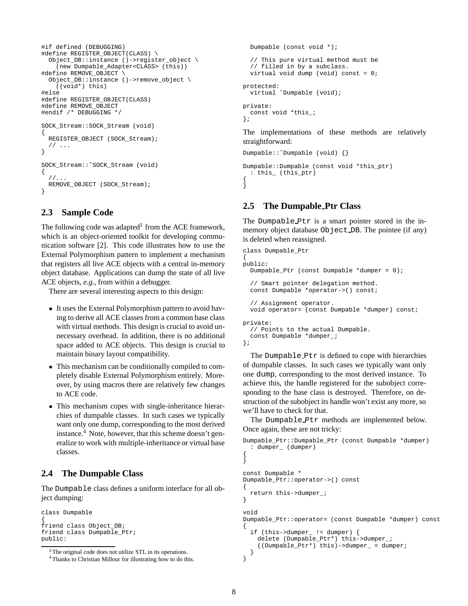```
#if defined (DEBUGGING)
#define REGISTER_OBJECT(CLASS) \
  Object_DB::instance ()->register_object \
    (new Dumpable_Adapter<CLASS> (this))
#define REMOVE_OBJECT \
 Object DB::instance ()->remove object \
    ((void*) this)
#else
#define REGISTER_OBJECT(CLASS)
#define REMOVE_OBJECT
#endif /* DEBUGGING */
SOCK_Stream::SOCK_Stream (void)
{
 REGISTER_OBJECT (SOCK_Stream);
  // ...
}
SOCK_Stream::˜SOCK_Stream (void)
{
  //...
  REMOVE_OBJECT (SOCK_Stream);
}
```
#### **2.3 Sample Code**

The following code was adapted<sup>3</sup> from the ACE framework, which is an object-oriented toolkit for developing communication software [2]. This code illustrates how to use the External Polymorphism pattern to implement a mechanism that registers all live ACE objects with a central in-memory object database. Applications can dump the state of all live ACE objects, *e.g.,* from within a debugger.

There are several interesting aspects to this design:

- It uses the External Polymorphism pattern to avoid having to derive all ACE classes from a common base class with virtual methods. This design is crucial to avoid unnecessary overhead. In addition, there is no additional space added to ACE objects. This design is crucial to maintain binary layout compatibility.
- This mechanism can be conditionally compiled to completely disable External Polymorphism entirely. Moreover, by using macros there are relatively few changes to ACE code.
- This mechanism copes with single-inheritance hierarchies of dumpable classes. In such cases we typically want only one dump, corresponding to the most derived instance.<sup>4</sup> Note, however, that this scheme doesn't generalize to work with multiple-inheritance or virtual base classes.

## **2.4 The Dumpable Class**

The Dumpable class defines a uniform interface for all object dumping:

```
class Dumpable
{
friend class Object_DB;
friend class Dumpable_Ptr;
public:
```

```
Dumpable (const void *);
  // This pure virtual method must be
  // filled in by a subclass.
  virtual void dump (void) const = 0;
protected:
  virtual ˜Dumpable (void);
private:
 const void *this_;
};
```
The implementations of these methods are relatively straightforward:

```
Dumpable::˜Dumpable (void) {}
Dumpable::Dumpable (const void *this_ptr)
  : this_ (this_ptr)
{
}
```
## **2.5 The Dumpable Ptr Class**

The Dumpable Ptr is a smart pointer stored in the inmemory object database Object DB. The pointee (if any) is deleted when reassigned.

```
class Dumpable_Ptr
{
public:
 Dumpable_Ptr (const Dumpable *dumper = 0);
  // Smart pointer delegation method.
  const Dumpable *operator->() const;
  // Assignment operator.
 void operator= (const Dumpable *dumper) const;
private:
  // Points to the actual Dumpable.
  const Dumpable *dumper_;
};
```
The Dumpable Ptr is defined to cope with hierarchies of dumpable classes. In such cases we typically want only one dump, corresponding to the most derived instance. To achieve this, the handle registered for the subobject corresponding to the base class is destroyed. Therefore, on destruction of the subobject its handle won't exist any more, so we'll have to check for that.

The Dumpable Ptr methods are implemented below. Once again, these are not tricky:

```
Dumpable_Ptr::Dumpable_Ptr (const Dumpable *dumper)
  : dumper_ (dumper)
{
```

```
}
const Dumpable *
Dumpable_Ptr::operator->() const
{
 return this->dumper_;
}
void
Dumpable_Ptr::operator= (const Dumpable *dumper) const
{
  if (this->dumper_ != dumper) {
    delete (Dumpable_Ptr*) this->dumper_;
    ((Dumpable_Ptr*) this)->dumper_ = dumper;
  }
}
```
<sup>&</sup>lt;sup>3</sup>The original code does not utilize STL in its operations.

<sup>&</sup>lt;sup>4</sup> Thanks to Christian Millour for illustrating how to do this.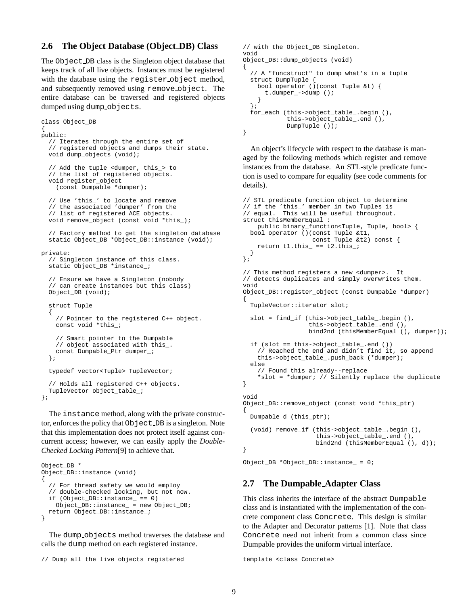### **2.6 The Object Database (Object DB) Class**

The Object DB class is the Singleton object database that keeps track of all live objects. Instances must be registered with the database using the register object method, and subsequently removed using remove object. The entire database can be traversed and registered objects dumped using dump\_objects.

```
class Object_DB
{
public:
  // Iterates through the entire set of
  // registered objects and dumps their state.
 void dump_objects (void);
  // Add the tuple <dumper, this_> to
  // the list of registered objects.
  void register_object
    (const Dumpable *dumper);
  // Use 'this_' to locate and remove
  // the associated 'dumper' from the
  // list of registered ACE objects.
  void remove object (const void *this );
  // Factory method to get the singleton database
  static Object_DB *Object_DB::instance (void);
private:
  // Singleton instance of this class.
  static Object_DB *instance_;
  // Ensure we have a Singleton (nobody
  // can create instances but this class)
  Object_DB (void);
  struct Tuple
  {
    // Pointer to the registered C++ object.
    const void *this_;
    // Smart pointer to the Dumpable
    // object associated with this_.
    const Dumpable_Ptr dumper_;
  };
  typedef vector<Tuple> TupleVector;
  // Holds all registered C++ objects.
 TupleVector object table ;
};
```
The instance method, along with the private constructor, enforces the policy that Object DB is a singleton. Note that this implementation does not protect itself against concurrent access; however, we can easily apply the *Double-Checked Locking Pattern*[9] to achieve that.

```
Object_DB *
Object_DB::instance (void)
{
  // For thread safety we would employ
    // double-checked locking, but not now.
  if (Object_DB::instance_ == 0)
    Object_DB::instance_ = new Object_DB;
  return Object_DB::instance_;
}
```
The dump objects method traverses the database and calls the dump method on each registered instance.

```
// Dump all the live objects registered
```

```
// with the Object_DB Singleton.
void
Object_DB::dump_objects (void)
{
  // A "funcstruct" to dump what's in a tuple
  struct DumpTuple {
   bool operator ()(const Tuple &t) {
     t.dumper_->dump ();
    }
  };
  for_each (this->object_table_.begin (),
            this->object_table_.end (),
            DumpTuple ();
}
```
An object's lifecycle with respect to the database is managed by the following methods which register and remove instances from the database. An STL-style predicate function is used to compare for equality (see code comments for details).

```
// STL predicate function object to determine
// if the 'this_' member in two Tuples is
// equal. This will be useful throughout.
struct thisMemberEqual :
   public binary_function<Tuple, Tuple, bool> {
 bool operator ()(const Tuple &t1,
                  const Tuple &t2) const {
    return t1.this_ == t2.this_;
 }
};
// This method registers a new <dumper>. It
// detects duplicates and simply overwrites them.
void
Object_DB::register_object (const Dumpable *dumper)
{
 TupleVector::iterator slot;
 slot = find_if (this->object_table_.begin (),
                  this->object_table_.end (),
                  bind2nd (thisMemberEqual (), dumper));
 if (slot == this->object_table_.end ())
    // Reached the end and didn't find it, so append
    this->object_table_.push_back (*dumper);
 else
    // Found this already--replace
    *slot = *dumper; // Silently replace the duplicate
}
void
Object_DB::remove_object (const void *this_ptr)
{
 Dumpable d (this_ptr);
  (void) remove_if (this->object_table_.begin (),
                    this->object_table_.end (),
                    bind2nd (thisMemberEqual (), d));
}
```

```
Object_DB *Object_DB::instance_ = 0;
```
#### **2.7 The Dumpable Adapter Class**

This class inherits the interface of the abstract Dumpable class and is instantiated with the implementation of the concrete component class Concrete. This design is similar to the Adapter and Decorator patterns [1]. Note that class Concrete need not inherit from a common class since Dumpable provides the uniform virtual interface.

```
template <class Concrete>
```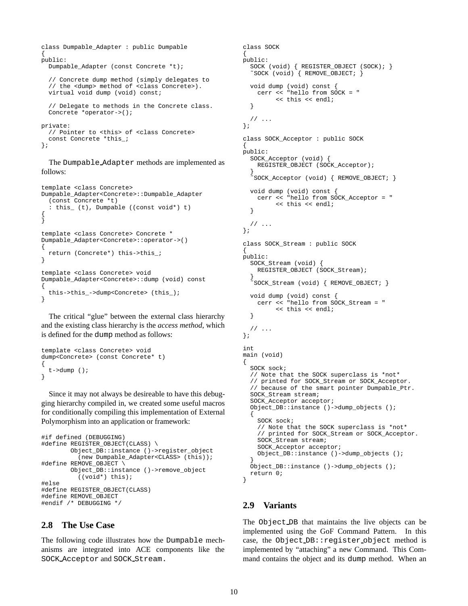```
class Dumpable_Adapter : public Dumpable
{
public:
 Dumpable_Adapter (const Concrete *t);
  // Concrete dump method (simply delegates to
  // the <dump> method of <class Concrete>).
  virtual void dump (void) const;
  // Delegate to methods in the Concrete class.
  Concrete *operator->();
private:
  // Pointer to <this> of <class Concrete>
  const Concrete *this_;
```
};

The Dumpable Adapter methods are implemented as follows:

```
template <class Concrete>
Dumpable_Adapter<Concrete>::Dumpable_Adapter
  [const] Concrete *t)
  : this_ (t), Dumpable ((const void*) t)
{
}
template <class Concrete> Concrete *
Dumpable_Adapter<Concrete>::operator->()
{
 return (Concrete*) this->this_;
}
template <class Concrete> void
Dumpable_Adapter<Concrete>::dump (void) const
{
  this->this_->dump<Concrete> (this_);
}
```
The critical "glue" between the external class hierarchy and the existing class hierarchy is the *access method*, which is defined for the dump method as follows:

```
template <class Concrete> void
dump<Concrete> (const Concrete* t)
{
  t->dump ();
}
```
Since it may not always be desireable to have this debugging hierarchy compiled in, we created some useful macros for conditionally compiling this implementation of External Polymorphism into an application or framework:

```
#if defined (DEBUGGING)
#define REGISTER_OBJECT(CLASS) \
        Object_DB::instance ()->register_object
          (new Dumpable_Adapter<CLASS> (this));
#define REMOVE_OBJECT \
        Object_DB::instance ()->remove_object
          ((void*) this);
#else
#define REGISTER_OBJECT(CLASS)
#define REMOVE_OBJECT
#endif /* DEBUGGING */
```
## **2.8 The Use Case**

The following code illustrates how the Dumpable mechanisms are integrated into ACE components like the SOCK Acceptor and SOCK Stream.

```
class SOCK
{
public:
  SOCK (void) { REGISTER_OBJECT (SOCK); }
   ˜SOCK (void) { REMOVE_OBJECT; }
  void dump (void) const {
    cerr << "hello from SOCK = "
         << this << endl;
  }
  // ...
};
class SOCK_Acceptor : public SOCK
{
public:
  SOCK_Acceptor (void) {
    REGISTER_OBJECT (SOCK_Acceptor);
  }
   ˜SOCK_Acceptor (void) { REMOVE_OBJECT; }
  void dump (void) const {
   cerr << "hello from SOCK_Acceptor = "
         << this << endl;
  }
  // ...
};
class SOCK_Stream : public SOCK
{
public:
  SOCK_Stream (void) {
    REGISTER_OBJECT (SOCK_Stream);
  }
   ˜SOCK_Stream (void) { REMOVE_OBJECT; }
  void dump (void) const {
    cerr << "hello from SOCK_Stream = "
         << this << endl;
  }
  // ...
};
int
main (void)
\mathcal{L}_{\mathcal{A}}SOCK sock;
  // Note that the SOCK superclass is *not*
  // printed for SOCK_Stream or SOCK_Acceptor.
  // because of the smart pointer Dumpable_Ptr.
  SOCK_Stream stream;
  SOCK_Acceptor acceptor;
  Object_DB::instance ()->dump_objects ();
  {
    SOCK sock;
    // Note that the SOCK superclass is *not*
    // printed for SOCK_Stream or SOCK_Acceptor.
    SOCK_Stream stream;
    SOCK_Acceptor acceptor;
    Object_DB::instance ()->dump_objects ();
  }
  Object_DB::instance ()->dump_objects ();
  return 0;
}
```
## **2.9 Variants**

The Object DB that maintains the live objects can be implemented using the GoF Command Pattern. In this case, the Object DB::register object method is implemented by "attaching" a new Command. This Command contains the object and its dump method. When an